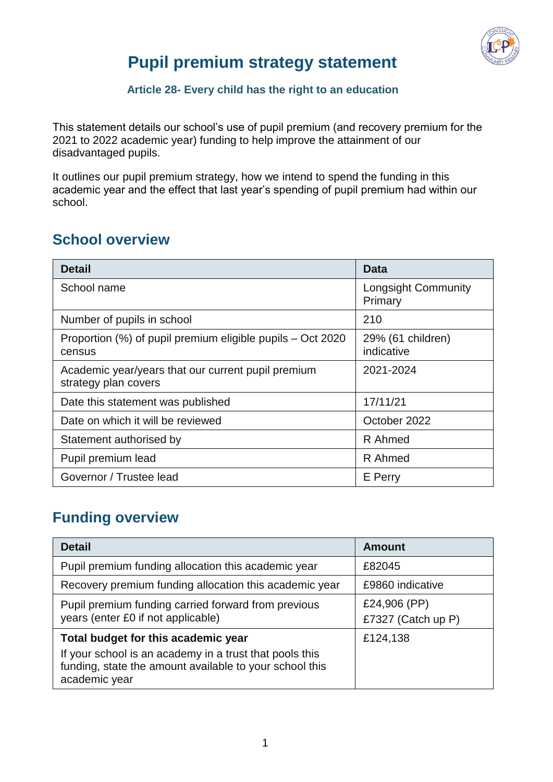

## **Pupil premium strategy statement**

#### **Article 28- Every child has the right to an education**

This statement details our school's use of pupil premium (and recovery premium for the 2021 to 2022 academic year) funding to help improve the attainment of our disadvantaged pupils.

It outlines our pupil premium strategy, how we intend to spend the funding in this academic year and the effect that last year's spending of pupil premium had within our school.

#### **School overview**

| <b>Detail</b>                                                              | <b>Data</b>                           |
|----------------------------------------------------------------------------|---------------------------------------|
| School name                                                                | <b>Longsight Community</b><br>Primary |
| Number of pupils in school                                                 | 210                                   |
| Proportion (%) of pupil premium eligible pupils – Oct 2020<br>census       | 29% (61 children)<br>indicative       |
| Academic year/years that our current pupil premium<br>strategy plan covers | 2021-2024                             |
| Date this statement was published                                          | 17/11/21                              |
| Date on which it will be reviewed                                          | October 2022                          |
| Statement authorised by                                                    | R Ahmed                               |
| Pupil premium lead                                                         | R Ahmed                               |
| Governor / Trustee lead                                                    | E Perry                               |

#### **Funding overview**

| <b>Detail</b>                                                                                                                                                              | Amount                             |  |
|----------------------------------------------------------------------------------------------------------------------------------------------------------------------------|------------------------------------|--|
| Pupil premium funding allocation this academic year                                                                                                                        | £82045                             |  |
| Recovery premium funding allocation this academic year                                                                                                                     | £9860 indicative                   |  |
| Pupil premium funding carried forward from previous<br>years (enter £0 if not applicable)                                                                                  | £24,906 (PP)<br>£7327 (Catch up P) |  |
| Total budget for this academic year<br>If your school is an academy in a trust that pools this<br>funding, state the amount available to your school this<br>academic year | £124,138                           |  |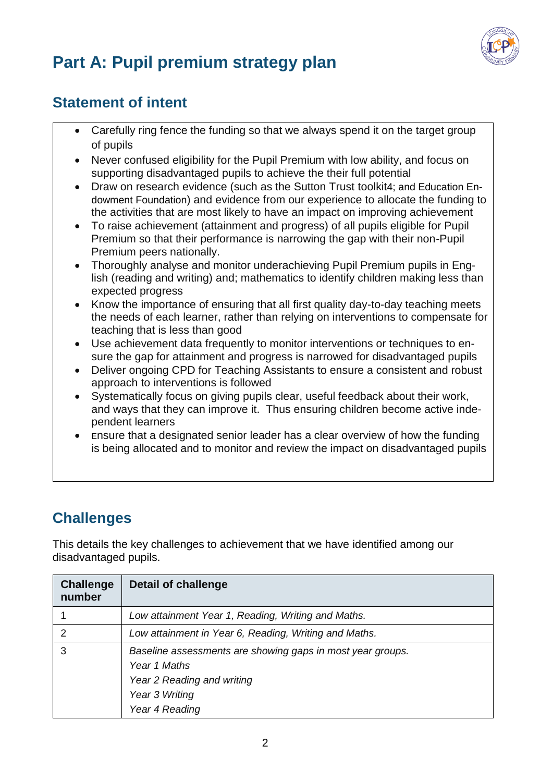

# **Part A: Pupil premium strategy plan**

#### **Statement of intent**

- Carefully ring fence the funding so that we always spend it on the target group of pupils
- Never confused eligibility for the Pupil Premium with low ability, and focus on supporting disadvantaged pupils to achieve the their full potential
- Draw on research evidence (such as the Sutton Trust toolkit4; and Education Endowment Foundation) and evidence from our experience to allocate the funding to the activities that are most likely to have an impact on improving achievement
- To raise achievement (attainment and progress) of all pupils eligible for Pupil Premium so that their performance is narrowing the gap with their non-Pupil Premium peers nationally.
- Thoroughly analyse and monitor underachieving Pupil Premium pupils in English (reading and writing) and; mathematics to identify children making less than expected progress
- Know the importance of ensuring that all first quality day-to-day teaching meets the needs of each learner, rather than relying on interventions to compensate for teaching that is less than good
- Use achievement data frequently to monitor interventions or techniques to ensure the gap for attainment and progress is narrowed for disadvantaged pupils
- Deliver ongoing CPD for Teaching Assistants to ensure a consistent and robust approach to interventions is followed
- Systematically focus on giving pupils clear, useful feedback about their work, and ways that they can improve it. Thus ensuring children become active independent learners
- Ensure that a designated senior leader has a clear overview of how the funding is being allocated and to monitor and review the impact on disadvantaged pupils

### **Challenges**

This details the key challenges to achievement that we have identified among our disadvantaged pupils.

| <b>Challenge</b><br>number | <b>Detail of challenge</b>                                                                                                                   |
|----------------------------|----------------------------------------------------------------------------------------------------------------------------------------------|
|                            | Low attainment Year 1, Reading, Writing and Maths.                                                                                           |
| 2                          | Low attainment in Year 6, Reading, Writing and Maths.                                                                                        |
| 3                          | Baseline assessments are showing gaps in most year groups.<br>Year 1 Maths<br>Year 2 Reading and writing<br>Year 3 Writing<br>Year 4 Reading |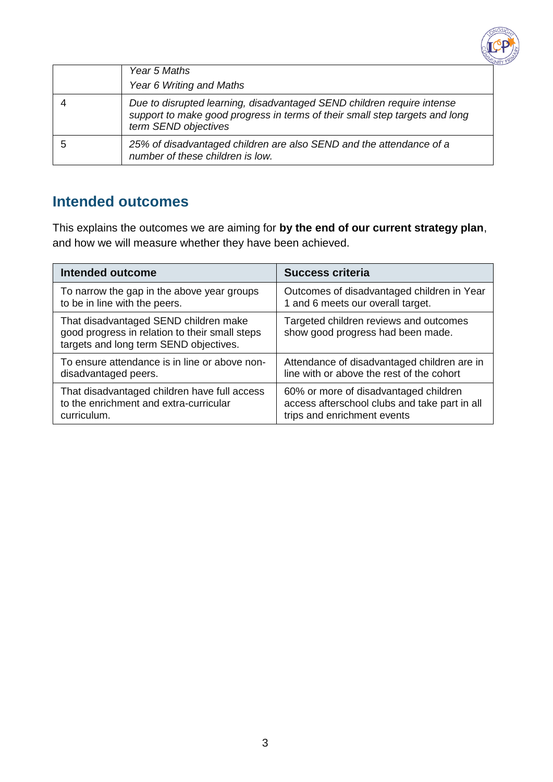

| Year 5 Maths                                                                                                                                                                  |
|-------------------------------------------------------------------------------------------------------------------------------------------------------------------------------|
| Year 6 Writing and Maths                                                                                                                                                      |
| Due to disrupted learning, disadvantaged SEND children require intense<br>support to make good progress in terms of their small step targets and long<br>term SEND objectives |
| 25% of disadvantaged children are also SEND and the attendance of a<br>number of these children is low.                                                                       |

#### **Intended outcomes**

This explains the outcomes we are aiming for **by the end of our current strategy plan**, and how we will measure whether they have been achieved.

| <b>Intended outcome</b>                                                                                                           | <b>Success criteria</b>                                                     |
|-----------------------------------------------------------------------------------------------------------------------------------|-----------------------------------------------------------------------------|
| To narrow the gap in the above year groups                                                                                        | Outcomes of disadvantaged children in Year                                  |
| to be in line with the peers.                                                                                                     | 1 and 6 meets our overall target.                                           |
| That disadvantaged SEND children make<br>good progress in relation to their small steps<br>targets and long term SEND objectives. | Targeted children reviews and outcomes<br>show good progress had been made. |
| To ensure attendance is in line or above non-                                                                                     | Attendance of disadvantaged children are in                                 |
| disadvantaged peers.                                                                                                              | line with or above the rest of the cohort                                   |
| That disadvantaged children have full access                                                                                      | 60% or more of disadvantaged children                                       |
| to the enrichment and extra-curricular                                                                                            | access afterschool clubs and take part in all                               |
| curriculum.                                                                                                                       | trips and enrichment events                                                 |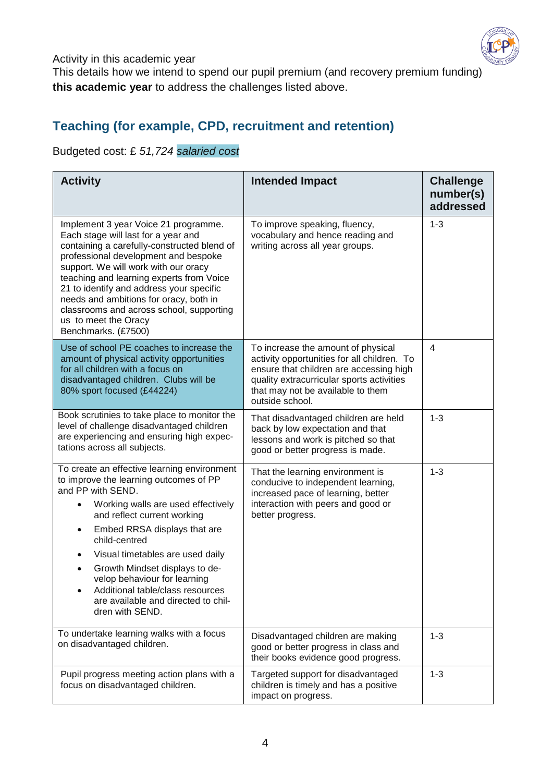

Activity in this academic year

This details how we intend to spend our pupil premium (and recovery premium funding) **this academic year** to address the challenges listed above.

#### **Teaching (for example, CPD, recruitment and retention)**

Budgeted cost: £ *51,724 salaried cost*

| <b>Activity</b>                                                                                                                                                                                                                                                                                                                                                                                                                                                                  | <b>Intended Impact</b>                                                                                                                                                                                                            | <b>Challenge</b><br>number(s)<br>addressed |
|----------------------------------------------------------------------------------------------------------------------------------------------------------------------------------------------------------------------------------------------------------------------------------------------------------------------------------------------------------------------------------------------------------------------------------------------------------------------------------|-----------------------------------------------------------------------------------------------------------------------------------------------------------------------------------------------------------------------------------|--------------------------------------------|
| Implement 3 year Voice 21 programme.<br>Each stage will last for a year and<br>containing a carefully-constructed blend of<br>professional development and bespoke<br>support. We will work with our oracy<br>teaching and learning experts from Voice<br>21 to identify and address your specific<br>needs and ambitions for oracy, both in<br>classrooms and across school, supporting<br>us to meet the Oracy<br>Benchmarks. (£7500)                                          | To improve speaking, fluency,<br>vocabulary and hence reading and<br>writing across all year groups.                                                                                                                              | $1 - 3$                                    |
| Use of school PE coaches to increase the<br>amount of physical activity opportunities<br>for all children with a focus on<br>disadvantaged children. Clubs will be<br>80% sport focused (£44224)                                                                                                                                                                                                                                                                                 | To increase the amount of physical<br>activity opportunities for all children. To<br>ensure that children are accessing high<br>quality extracurricular sports activities<br>that may not be available to them<br>outside school. | $\overline{4}$                             |
| Book scrutinies to take place to monitor the<br>level of challenge disadvantaged children<br>are experiencing and ensuring high expec-<br>tations across all subjects.                                                                                                                                                                                                                                                                                                           | That disadvantaged children are held<br>back by low expectation and that<br>lessons and work is pitched so that<br>good or better progress is made.                                                                               | $1 - 3$                                    |
| To create an effective learning environment<br>to improve the learning outcomes of PP<br>and PP with SEND.<br>Working walls are used effectively<br>$\bullet$<br>and reflect current working<br>Embed RRSA displays that are<br>٠<br>child-centred<br>Visual timetables are used daily<br>$\bullet$<br>Growth Mindset displays to de-<br>$\bullet$<br>velop behaviour for learning<br>Additional table/class resources<br>are available and directed to chil-<br>dren with SEND. | That the learning environment is<br>conducive to independent learning,<br>increased pace of learning, better<br>interaction with peers and good or<br>better progress.                                                            | $1 - 3$                                    |
| To undertake learning walks with a focus<br>on disadvantaged children.                                                                                                                                                                                                                                                                                                                                                                                                           | Disadvantaged children are making<br>good or better progress in class and<br>their books evidence good progress.                                                                                                                  | $1 - 3$                                    |
| Pupil progress meeting action plans with a<br>focus on disadvantaged children.                                                                                                                                                                                                                                                                                                                                                                                                   | Targeted support for disadvantaged<br>children is timely and has a positive<br>impact on progress.                                                                                                                                | $1 - 3$                                    |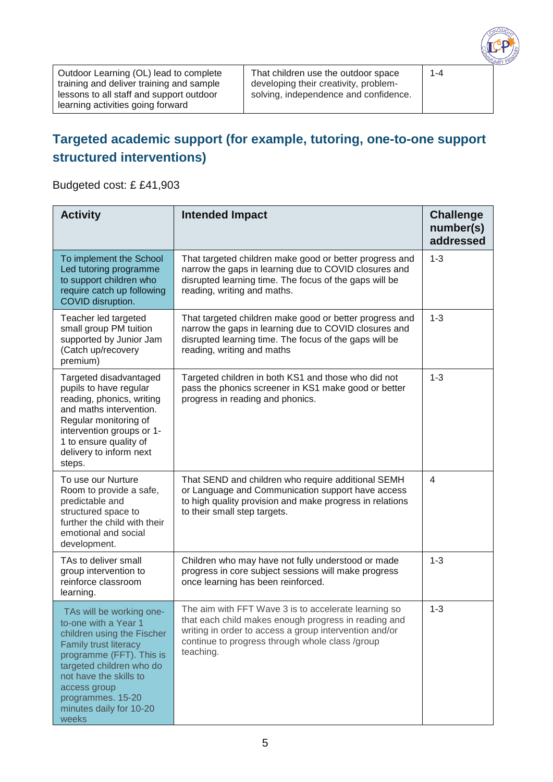

Outdoor Learning (OL) lead to complete training and deliver training and sample lessons to all staff and support outdoor learning activities going forward

That children use the outdoor space developing their creativity, problemsolving, independence and confidence. 1-4

#### **Targeted academic support (for example, tutoring, one-to-one support structured interventions)**

Budgeted cost: £ £41,903

| <b>Activity</b>                                                                                                                                                                                                                                                           | <b>Intended Impact</b>                                                                                                                                                                                                                 | <b>Challenge</b><br>number(s)<br>addressed |
|---------------------------------------------------------------------------------------------------------------------------------------------------------------------------------------------------------------------------------------------------------------------------|----------------------------------------------------------------------------------------------------------------------------------------------------------------------------------------------------------------------------------------|--------------------------------------------|
| To implement the School<br>Led tutoring programme<br>to support children who<br>require catch up following<br>COVID disruption.                                                                                                                                           | That targeted children make good or better progress and<br>narrow the gaps in learning due to COVID closures and<br>disrupted learning time. The focus of the gaps will be<br>reading, writing and maths.                              | $1 - 3$                                    |
| Teacher led targeted<br>small group PM tuition<br>supported by Junior Jam<br>(Catch up/recovery<br>premium)                                                                                                                                                               | That targeted children make good or better progress and<br>narrow the gaps in learning due to COVID closures and<br>disrupted learning time. The focus of the gaps will be<br>reading, writing and maths                               | $1 - 3$                                    |
| Targeted disadvantaged<br>pupils to have regular<br>reading, phonics, writing<br>and maths intervention.<br>Regular monitoring of<br>intervention groups or 1-<br>1 to ensure quality of<br>delivery to inform next<br>steps.                                             | Targeted children in both KS1 and those who did not<br>pass the phonics screener in KS1 make good or better<br>progress in reading and phonics.                                                                                        | $1 - 3$                                    |
| To use our Nurture<br>Room to provide a safe,<br>predictable and<br>structured space to<br>further the child with their<br>emotional and social<br>development.                                                                                                           | That SEND and children who require additional SEMH<br>or Language and Communication support have access<br>to high quality provision and make progress in relations<br>to their small step targets.                                    | $\overline{4}$                             |
| TAs to deliver small<br>group intervention to<br>reinforce classroom<br>learning.                                                                                                                                                                                         | Children who may have not fully understood or made<br>progress in core subject sessions will make progress<br>once learning has been reinforced.                                                                                       | $1 - 3$                                    |
| TAs will be working one-<br>to-one with a Year 1<br>children using the Fischer<br><b>Family trust literacy</b><br>programme (FFT). This is<br>targeted children who do<br>not have the skills to<br>access group<br>programmes. 15-20<br>minutes daily for 10-20<br>weeks | The aim with FFT Wave 3 is to accelerate learning so<br>that each child makes enough progress in reading and<br>writing in order to access a group intervention and/or<br>continue to progress through whole class /group<br>teaching. | $1 - 3$                                    |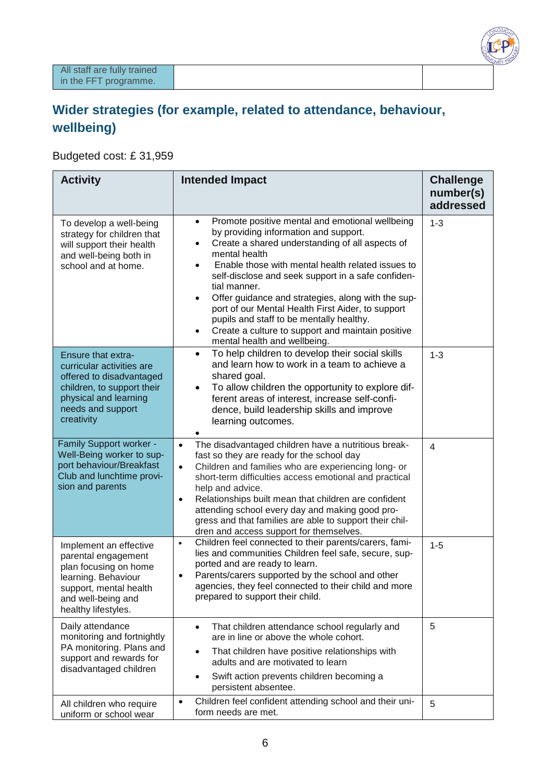

#### **Wider strategies (for example, related to attendance, behaviour, wellbeing)**

Budgeted cost: £ 31,959

| <b>Activity</b>                                                                                                                                                              | <b>Intended Impact</b>                                                                                                                                                                                                                                                                                                                                                                                                                                                                                                                                                                  | <b>Challenge</b><br>number(s)<br>addressed |
|------------------------------------------------------------------------------------------------------------------------------------------------------------------------------|-----------------------------------------------------------------------------------------------------------------------------------------------------------------------------------------------------------------------------------------------------------------------------------------------------------------------------------------------------------------------------------------------------------------------------------------------------------------------------------------------------------------------------------------------------------------------------------------|--------------------------------------------|
| To develop a well-being<br>strategy for children that<br>will support their health<br>and well-being both in<br>school and at home.                                          | Promote positive mental and emotional wellbeing<br>$\bullet$<br>by providing information and support.<br>Create a shared understanding of all aspects of<br>mental health<br>Enable those with mental health related issues to<br>$\bullet$<br>self-disclose and seek support in a safe confiden-<br>tial manner.<br>Offer guidance and strategies, along with the sup-<br>$\bullet$<br>port of our Mental Health First Aider, to support<br>pupils and staff to be mentally healthy.<br>Create a culture to support and maintain positive<br>$\bullet$<br>mental health and wellbeing. | $1 - 3$                                    |
| <b>Ensure that extra-</b><br>curricular activities are<br>offered to disadvantaged<br>children, to support their<br>physical and learning<br>needs and support<br>creativity | To help children to develop their social skills<br>$\bullet$<br>and learn how to work in a team to achieve a<br>shared goal.<br>To allow children the opportunity to explore dif-<br>$\bullet$<br>ferent areas of interest, increase self-confi-<br>dence, build leadership skills and improve<br>learning outcomes.                                                                                                                                                                                                                                                                    | $1 - 3$                                    |
| Family Support worker -<br>Well-Being worker to sup-<br>port behaviour/Breakfast<br>Club and lunchtime provi-<br>sion and parents                                            | The disadvantaged children have a nutritious break-<br>$\bullet$<br>fast so they are ready for the school day<br>Children and families who are experiencing long- or<br>$\bullet$<br>short-term difficulties access emotional and practical<br>help and advice.<br>Relationships built mean that children are confident<br>$\bullet$<br>attending school every day and making good pro-<br>gress and that families are able to support their chil-<br>dren and access support for themselves.                                                                                           | $\overline{4}$                             |
| Implement an effective<br>parental engagement<br>plan focusing on home<br>learning. Behaviour<br>support, mental health<br>and well-being and<br>healthy lifestyles.         | Children feel connected to their parents/carers, fami-<br>$\bullet$<br>lies and communities Children feel safe, secure, sup-<br>ported and are ready to learn.<br>Parents/carers supported by the school and other<br>$\bullet$<br>agencies, they feel connected to their child and more<br>prepared to support their child.                                                                                                                                                                                                                                                            | $1 - 5$                                    |
| Daily attendance<br>monitoring and fortnightly<br>PA monitoring. Plans and<br>support and rewards for<br>disadvantaged children                                              | That children attendance school regularly and<br>$\bullet$<br>are in line or above the whole cohort.<br>That children have positive relationships with<br>$\bullet$<br>adults and are motivated to learn<br>Swift action prevents children becoming a<br>$\bullet$<br>persistent absentee.                                                                                                                                                                                                                                                                                              | 5                                          |
| All children who require<br>uniform or school wear                                                                                                                           | Children feel confident attending school and their uni-<br>$\bullet$<br>form needs are met.                                                                                                                                                                                                                                                                                                                                                                                                                                                                                             | 5                                          |